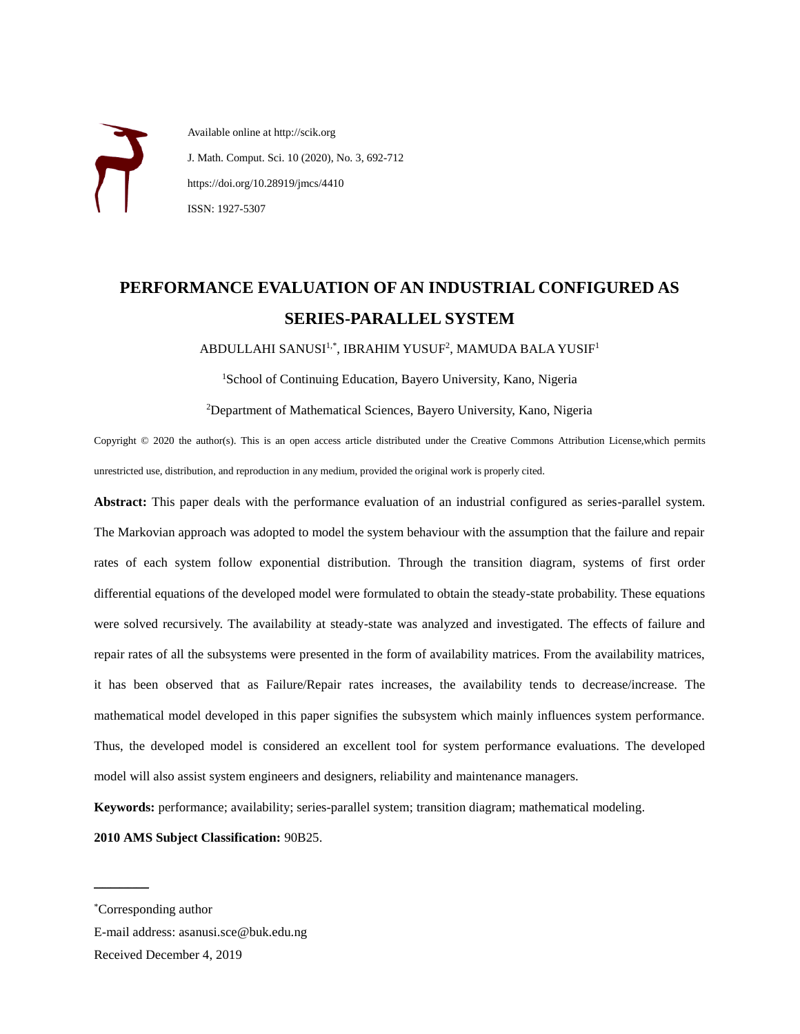Available online at http://scik.org J. Math. Comput. Sci. 10 (2020), No. 3, 692-712 https://doi.org/10.28919/jmcs/4410 ISSN: 1927-5307

# **PERFORMANCE EVALUATION OF AN INDUSTRIAL CONFIGURED AS SERIES-PARALLEL SYSTEM**

ABDULLAHI SANUSI<sup>1,\*</sup>, IBRAHIM YUSUF<sup>2</sup>, MAMUDA BALA YUSIF<sup>1</sup>

<sup>1</sup>School of Continuing Education, Bayero University, Kano, Nigeria

<sup>2</sup>Department of Mathematical Sciences, Bayero University, Kano, Nigeria

Copyright © 2020 the author(s). This is an open access article distributed under the Creative Commons Attribution License,which permits unrestricted use, distribution, and reproduction in any medium, provided the original work is properly cited.

**Abstract:** This paper deals with the performance evaluation of an industrial configured as series-parallel system. The Markovian approach was adopted to model the system behaviour with the assumption that the failure and repair rates of each system follow exponential distribution. Through the transition diagram, systems of first order differential equations of the developed model were formulated to obtain the steady-state probability. These equations were solved recursively. The availability at steady-state was analyzed and investigated. The effects of failure and repair rates of all the subsystems were presented in the form of availability matrices. From the availability matrices, it has been observed that as Failure/Repair rates increases, the availability tends to decrease/increase. The mathematical model developed in this paper signifies the subsystem which mainly influences system performance. Thus, the developed model is considered an excellent tool for system performance evaluations. The developed model will also assist system engineers and designers, reliability and maintenance managers.

**Keywords:** performance; availability; series-parallel system; transition diagram; mathematical modeling.

**2010 AMS Subject Classification:** 90B25.

 $\mathcal{L}$  , we can also the set of the set of the set of the set of the set of the set of the set of the set of the set of the set of the set of the set of the set of the set of the set of the set of the set of the set of

E-mail address: asanusi.sce@buk.edu.ng

<sup>\*</sup>Corresponding author

Received December 4, 2019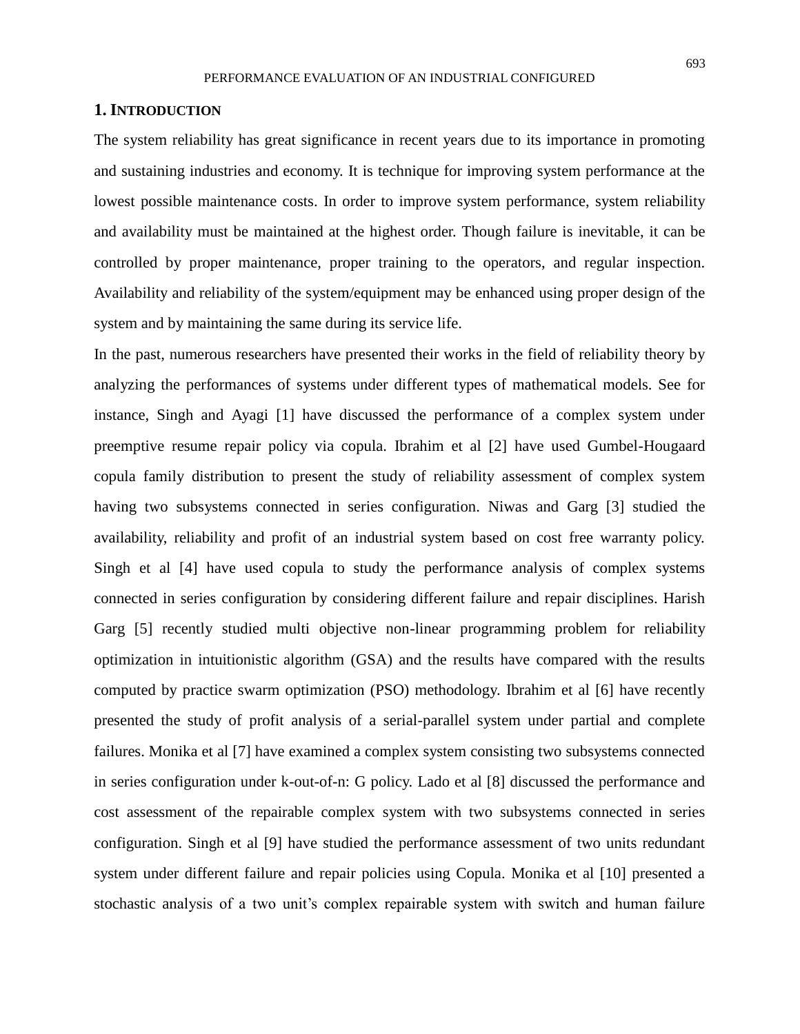#### **1. INTRODUCTION**

The system reliability has great significance in recent years due to its importance in promoting and sustaining industries and economy. It is technique for improving system performance at the lowest possible maintenance costs. In order to improve system performance, system reliability and availability must be maintained at the highest order. Though failure is inevitable, it can be controlled by proper maintenance, proper training to the operators, and regular inspection. Availability and reliability of the system/equipment may be enhanced using proper design of the system and by maintaining the same during its service life.

In the past, numerous researchers have presented their works in the field of reliability theory by analyzing the performances of systems under different types of mathematical models. See for instance, Singh and Ayagi [1] have discussed the performance of a complex system under preemptive resume repair policy via copula. Ibrahim et al [2] have used Gumbel-Hougaard copula family distribution to present the study of reliability assessment of complex system having two subsystems connected in series configuration. Niwas and Garg [3] studied the availability, reliability and profit of an industrial system based on cost free warranty policy. Singh et al [4] have used copula to study the performance analysis of complex systems connected in series configuration by considering different failure and repair disciplines. Harish Garg [5] recently studied multi objective non-linear programming problem for reliability optimization in intuitionistic algorithm (GSA) and the results have compared with the results computed by practice swarm optimization (PSO) methodology. Ibrahim et al [6] have recently presented the study of profit analysis of a serial-parallel system under partial and complete failures. Monika et al [7] have examined a complex system consisting two subsystems connected in series configuration under k-out-of-n: G policy. Lado et al [8] discussed the performance and cost assessment of the repairable complex system with two subsystems connected in series configuration. Singh et al [9] have studied the performance assessment of two units redundant system under different failure and repair policies using Copula. Monika et al [10] presented a stochastic analysis of a two unit's complex repairable system with switch and human failure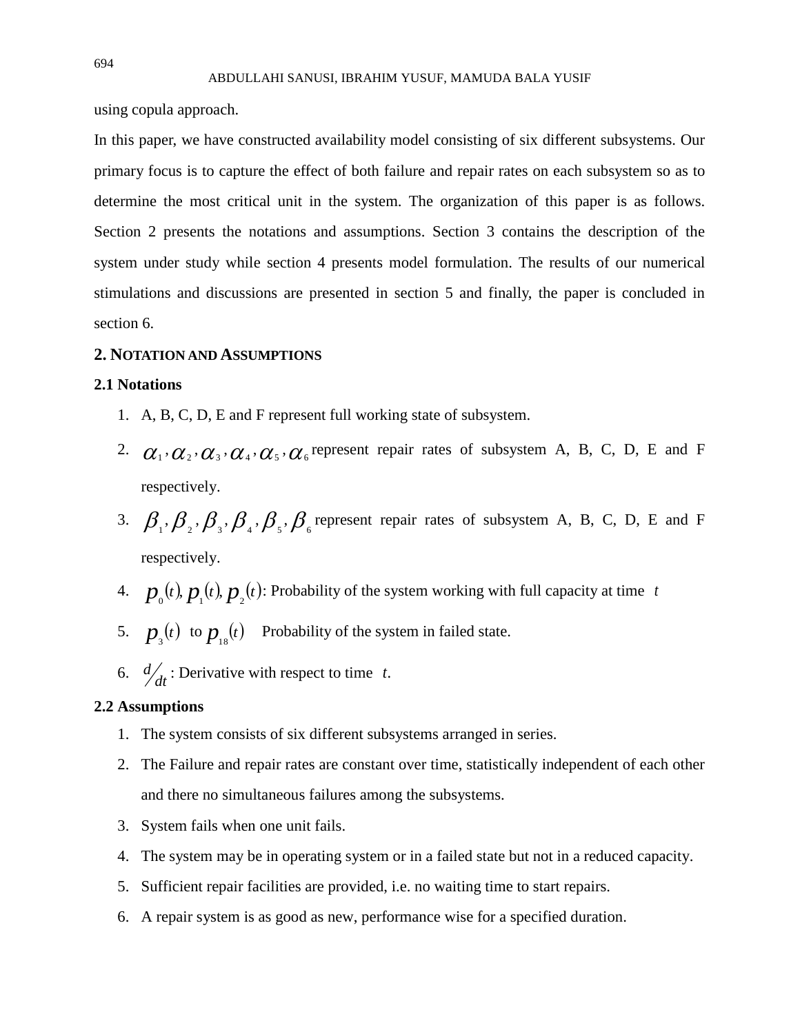using copula approach.

In this paper, we have constructed availability model consisting of six different subsystems. Our primary focus is to capture the effect of both failure and repair rates on each subsystem so as to determine the most critical unit in the system. The organization of this paper is as follows. Section 2 presents the notations and assumptions. Section 3 contains the description of the system under study while section 4 presents model formulation. The results of our numerical stimulations and discussions are presented in section 5 and finally, the paper is concluded in section 6.

#### **2. NOTATION AND ASSUMPTIONS**

## **2.1 Notations**

- 1. A, B, C, D, E and F represent full working state of subsystem.
- 2.  $\alpha_1, \alpha_2, \alpha_3, \alpha_4, \alpha_5, \alpha_6$  represent repair rates of subsystem A, B, C, D, E and F respectively.
- 3.  $\beta_1$ ,  $\beta_2$ ,  $\beta_3$ ,  $\beta_4$ ,  $\beta_5$ ,  $\beta_6$  represent repair rates of subsystem A, B, C, D, E and F respectively.
- 4.  $p_{0}(t)$ ,  $p_{1}(t)$ ,  $p_{2}(t)$ : Probability of the system working with full capacity at time t
- 5.  $p_{\text{s}}(t)$  to  $p_{\text{1s}}(t)$  Probability of the system in failed state.
- 6.  $\frac{d}{dt}$  $d'_{dt}$ : Derivative with respect to time t.

## **2.2 Assumptions**

- 1. The system consists of six different subsystems arranged in series.
- 2. The Failure and repair rates are constant over time, statistically independent of each other and there no simultaneous failures among the subsystems.
- 3. System fails when one unit fails.
- 4. The system may be in operating system or in a failed state but not in a reduced capacity.
- 5. Sufficient repair facilities are provided, i.e. no waiting time to start repairs.
- 6. A repair system is as good as new, performance wise for a specified duration.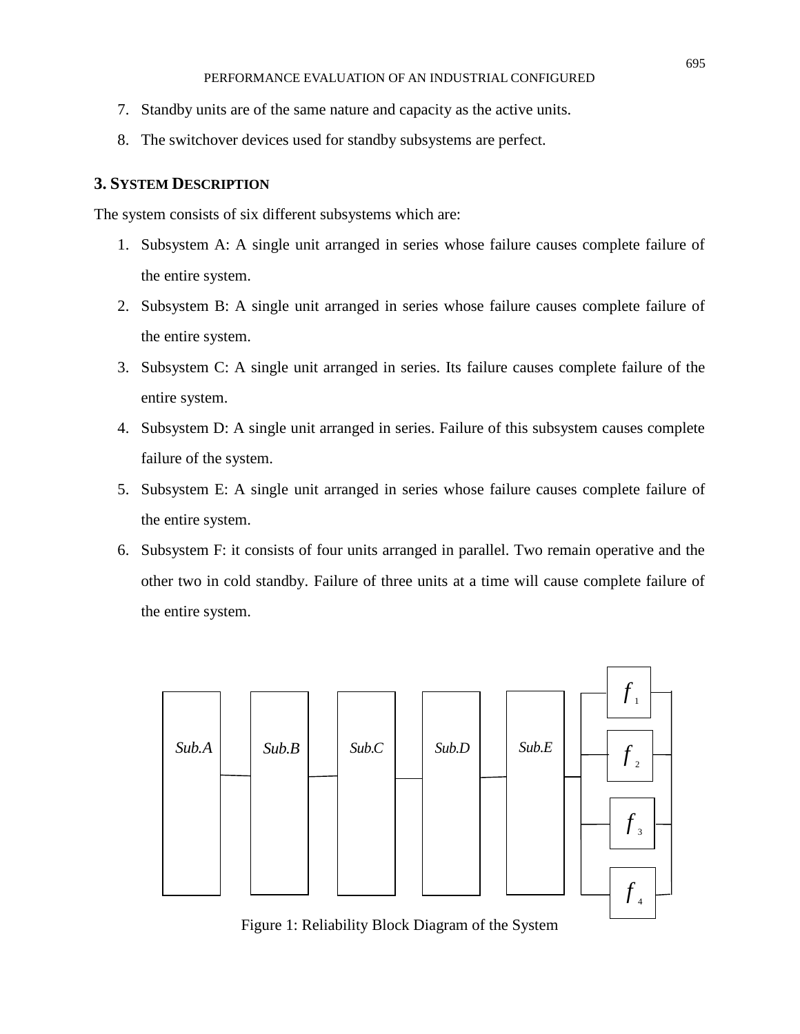- 7. Standby units are of the same nature and capacity as the active units.
- 8. The switchover devices used for standby subsystems are perfect.

# **3. SYSTEM DESCRIPTION**

The system consists of six different subsystems which are:

- 1. Subsystem A: A single unit arranged in series whose failure causes complete failure of the entire system.
- 2. Subsystem B: A single unit arranged in series whose failure causes complete failure of the entire system.
- 3. Subsystem C: A single unit arranged in series. Its failure causes complete failure of the entire system.
- 4. Subsystem D: A single unit arranged in series. Failure of this subsystem causes complete failure of the system.
- 5. Subsystem E: A single unit arranged in series whose failure causes complete failure of the entire system.
- 6. Subsystem F: it consists of four units arranged in parallel. Two remain operative and the other two in cold standby. Failure of three units at a time will cause complete failure of the entire system.



Figure 1: Reliability Block Diagram of the System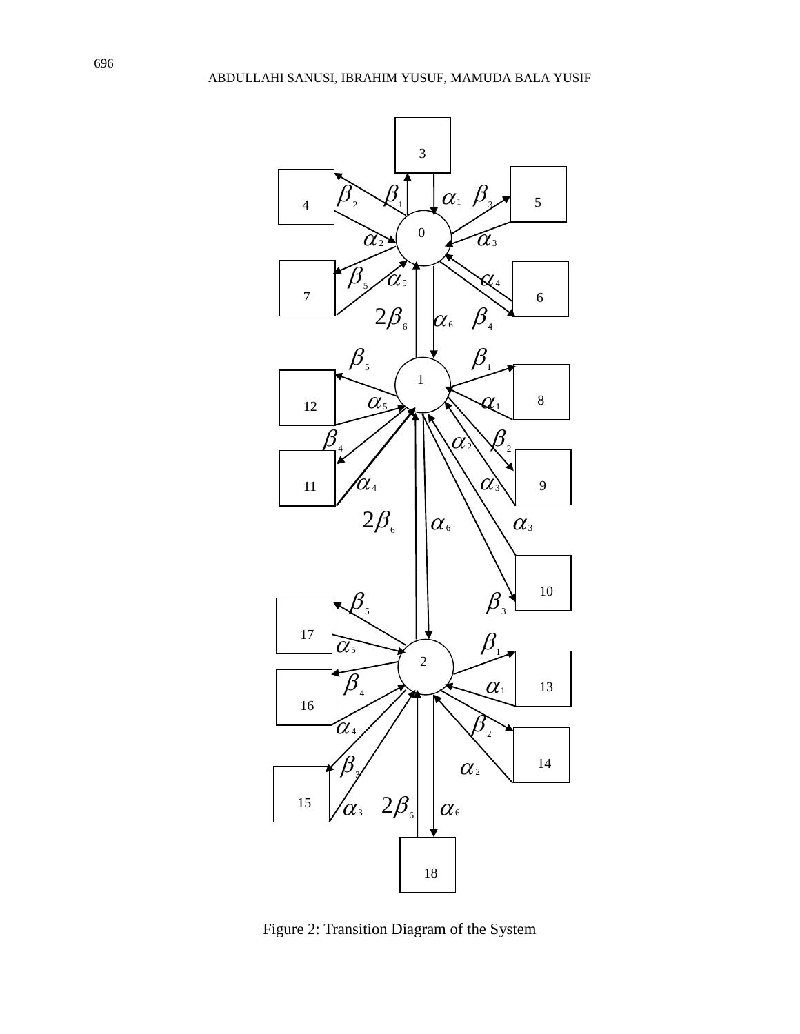

Figure 2: Transition Diagram of the System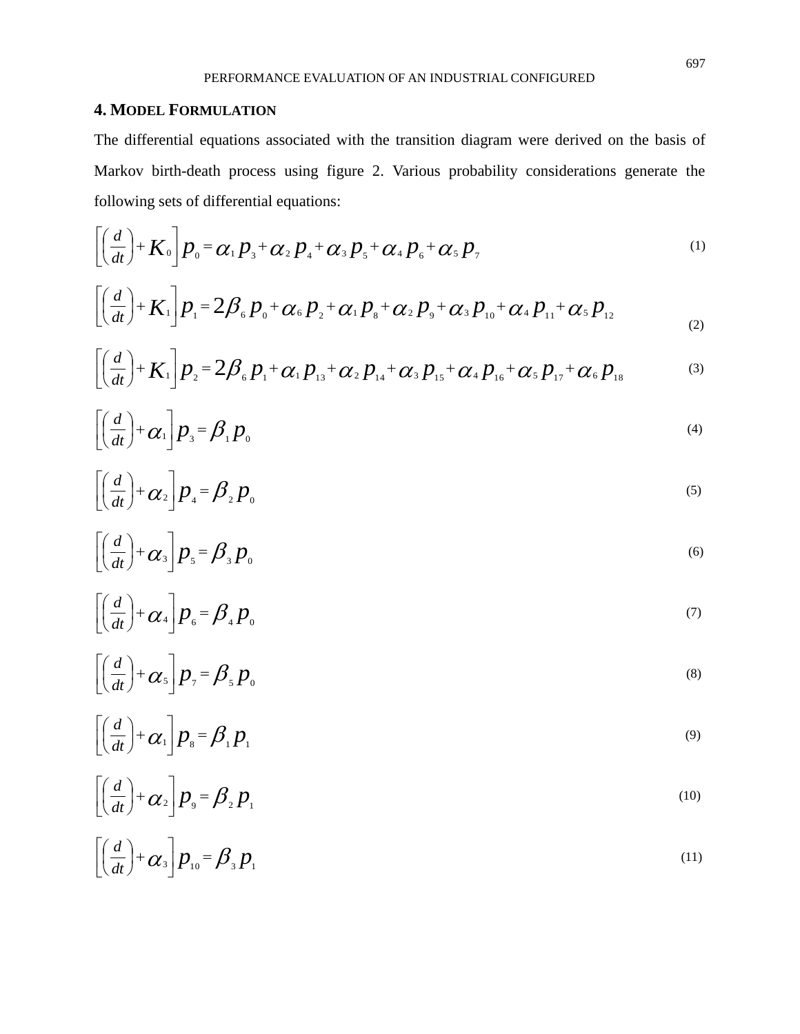# **4. MODEL FORMULATION**

The differential equations associated with the transition diagram were derived on the basis of Markov birth-death process using figure 2. Various probability considerations generate the following sets of differential equations:

$$
\left[\left(\frac{d}{dt}\right)^{2} + K_{0}\right]P_{0} = \alpha_{1}P_{3} + \alpha_{2}P_{4} + \alpha_{3}P_{5} + \alpha_{4}P_{6} + \alpha_{5}P_{7}
$$
\n<sup>(1)</sup>

$$
\left[\left(\frac{d}{dt}\right)^{2} + K_{1}\right] p_{1} = 2\beta_{6} p_{0} + \alpha_{6} p_{2} + \alpha_{1} p_{8} + \alpha_{2} p_{9} + \alpha_{3} p_{10} + \alpha_{4} p_{11} + \alpha_{5} p_{12}
$$
\n(2)

$$
\left[ \left( \frac{d}{dt} \right) + K_1 \right] p_2 = 2 \beta_6 p_1 + \alpha_1 p_{13} + \alpha_2 p_{14} + \alpha_3 p_{15} + \alpha_4 p_{16} + \alpha_5 p_{17} + \alpha_6 p_{18}
$$
 (3)

$$
\left[\left(\frac{d}{dt}\right) + \alpha_1\right] p_3 = \beta_1 p_0 \tag{4}
$$

$$
\left[\left(\frac{d}{dt}\right) + \alpha_2\right]p_4 = \beta_2 p_0 \tag{5}
$$

$$
\left[\left(\frac{d}{dt}\right) + \alpha_3\right]p_s = \beta_s p_0 \tag{6}
$$

$$
\left[\left(\frac{d}{dt}\right) + \alpha_4\right] p_6 = \beta_4 p_0 \tag{7}
$$

$$
\left[\left(\frac{d}{dt}\right) + \alpha_s\right]p_{\gamma} = \beta_s p_0 \tag{8}
$$

$$
\left[\left(\frac{d}{dt}\right) + \alpha_1\right] p_s = \beta_1 p_1 \tag{9}
$$

$$
\left[\left(\frac{d}{dt}\right) + \alpha_2\right]p_{\circ} = \beta_2 p_{\circ}
$$
\n(10)

$$
\left[\left(\frac{d}{dt}\right) + \alpha_3\right] p_{10} = \beta_3 p_1 \tag{11}
$$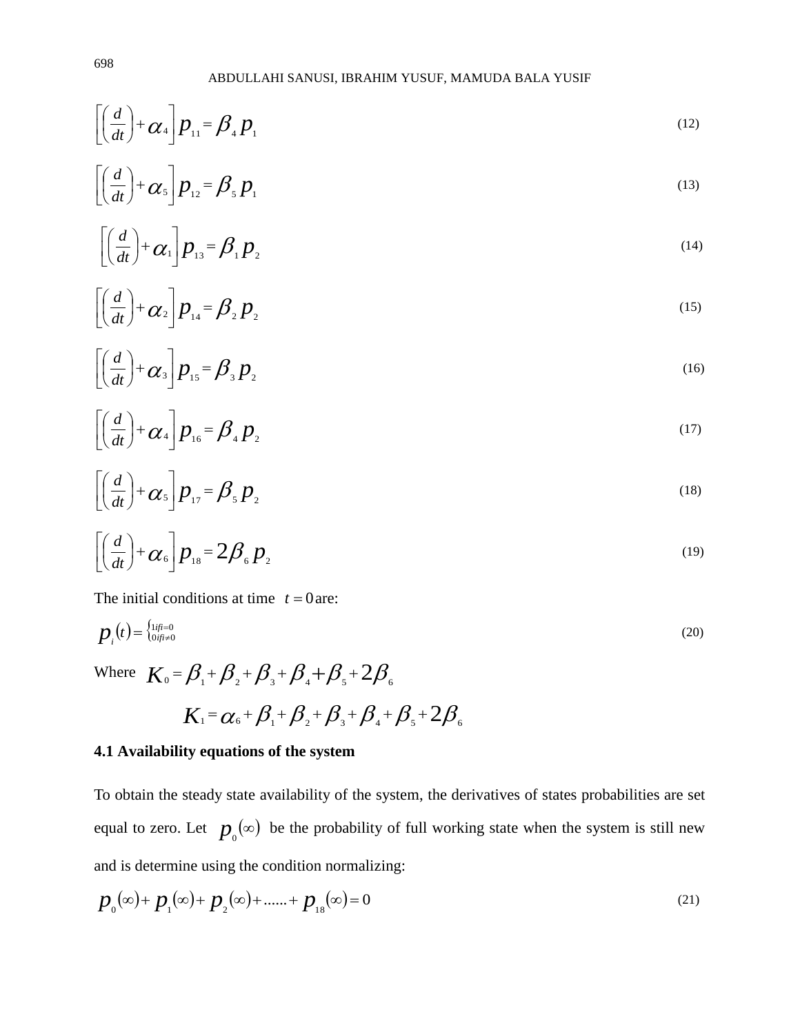$$
\left[ \left( \frac{d}{dt} \right) + \alpha_4 \right] p_{11} = \beta_4 p_1 \tag{12}
$$

$$
\left[\left(\frac{d}{dt}\right) + \alpha_s\right] p_{12} = \beta_s p_1 \tag{13}
$$

$$
\left[\left(\frac{d}{dt}\right) + \alpha_1\right] p_{13} = \beta_1 p_2 \tag{14}
$$

$$
\left[\left(\frac{d}{dt}\right) + \alpha_2\right] p_{14} = \beta_2 p_2 \tag{15}
$$

$$
\left[\left(\frac{d}{dt}\right) + \alpha_3\right]p_{15} = \beta_3 p_2 \tag{16}
$$

$$
\left[\left(\frac{d}{dt}\right) + \alpha_4\right] p_{16} = \beta_4 p_2 \tag{17}
$$

$$
\left[\left(\frac{d}{dt}\right) + \alpha_s\right]p_{17} = \beta_s p_2 \tag{18}
$$

$$
\left[\left(\frac{d}{dt}\right) + \alpha_6\right]p_{18} = 2\beta_6 p_2 \tag{19}
$$

The initial conditions at time  $t = 0$  are:

$$
p_i(t) = \begin{cases} \frac{1}{1} & \text{if } i = 0\\ 0 & \text{if } i \neq 0 \end{cases} \tag{20}
$$

Where  $K_0 = \beta_1 + \beta_2 + \beta_3 + \beta_4 + \beta_5 + 2\beta_6$ 

$$
K_1 = \alpha_6 + \beta_1 + \beta_2 + \beta_3 + \beta_4 + \beta_5 + 2\beta_6
$$

# **4.1 Availability equations of the system**

To obtain the steady state availability of the system, the derivatives of states probabilities are set equal to zero. Let  $p_{0}(\infty)$  be the probability of full working state when the system is still new and is determine using the condition normalizing:

$$
p_0(\infty) + p_1(\infty) + p_2(\infty) + \dots + p_{18}(\infty) = 0
$$
\n(21)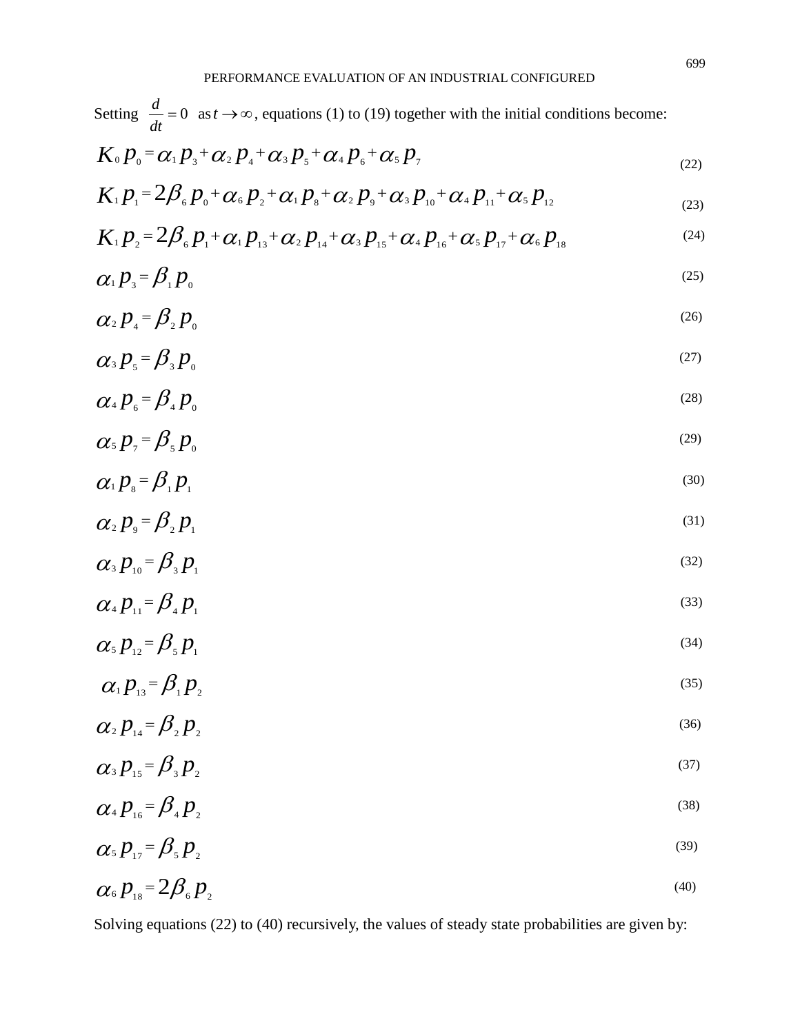| Setting $\frac{d}{dt} = 0$ as $t \to \infty$ , equations (1) to (19) together with the initial conditions become:                     |      |
|---------------------------------------------------------------------------------------------------------------------------------------|------|
| $K_0 p_{0} = \alpha_1 p_{3} + \alpha_2 p_{4} + \alpha_3 p_{5} + \alpha_4 p_{6} + \alpha_5 p_{7}$                                      | (22) |
| $K_1 p_1 = 2\beta_6 p_0 + \alpha_6 p_2 + \alpha_1 p_8 + \alpha_2 p_9 + \alpha_3 p_{10} + \alpha_4 p_{11} + \alpha_5 p_{12}$           | (23) |
| $K_1 p_1 = 2 \beta_6 p_1 + \alpha_1 p_{13} + \alpha_2 p_{14} + \alpha_3 p_{15} + \alpha_4 p_{16} + \alpha_5 p_{17} + \alpha_6 p_{18}$ | (24) |
| $\alpha_1 p_3 = \beta_1 p_0$                                                                                                          | (25) |
| $\alpha_2 p_4 = \beta_2 p_0$                                                                                                          | (26) |
| $\alpha_{3} p_{5} = \beta_{3} p_{0}$                                                                                                  | (27) |
| $\alpha_4 p_{\scriptscriptstyle 6} = \beta_4 p_{\scriptscriptstyle 0}$                                                                | (28) |
| $\alpha_s p_{\scriptscriptstyle{7}} = \beta_s p_{\scriptscriptstyle{0}}$                                                              | (29) |
| $\alpha_{1}p_{s} = \beta_{1}p_{1}$                                                                                                    | (30) |
| $\alpha_2 p_{\rm o} = \beta_2 p_{\rm o}$                                                                                              | (31) |
| $\alpha_{3} p_{10} = \beta_{3} p_{1}$                                                                                                 | (32) |
| $\alpha_4 p_{\scriptscriptstyle{11}} = \beta_4 p_{\scriptscriptstyle{1}}$                                                             | (33) |
| $\alpha_s p_{\scriptscriptstyle 12} = \beta_s p_{\scriptscriptstyle 12}$                                                              | (34) |
| $\alpha_1 p_{13} = \beta_1 p_2$                                                                                                       | (35) |
| $\alpha_2 p_{\scriptscriptstyle{14}} = \beta_2 p_{\scriptscriptstyle{22}}$                                                            | (36) |
| $\alpha_{3} p_{15} = \beta_{3} p_{2}$                                                                                                 | (37) |
| $\alpha_4 p_{16} = \beta_4 p_2$                                                                                                       | (38) |
| $\alpha_{5} p_{17} = \beta_{5} p_{2}$                                                                                                 | (39) |
| $\alpha_{6} p_{18} = 2 \beta_{6} p_{28}$                                                                                              | (40) |

Solving equations (22) to (40) recursively, the values of steady state probabilities are given by: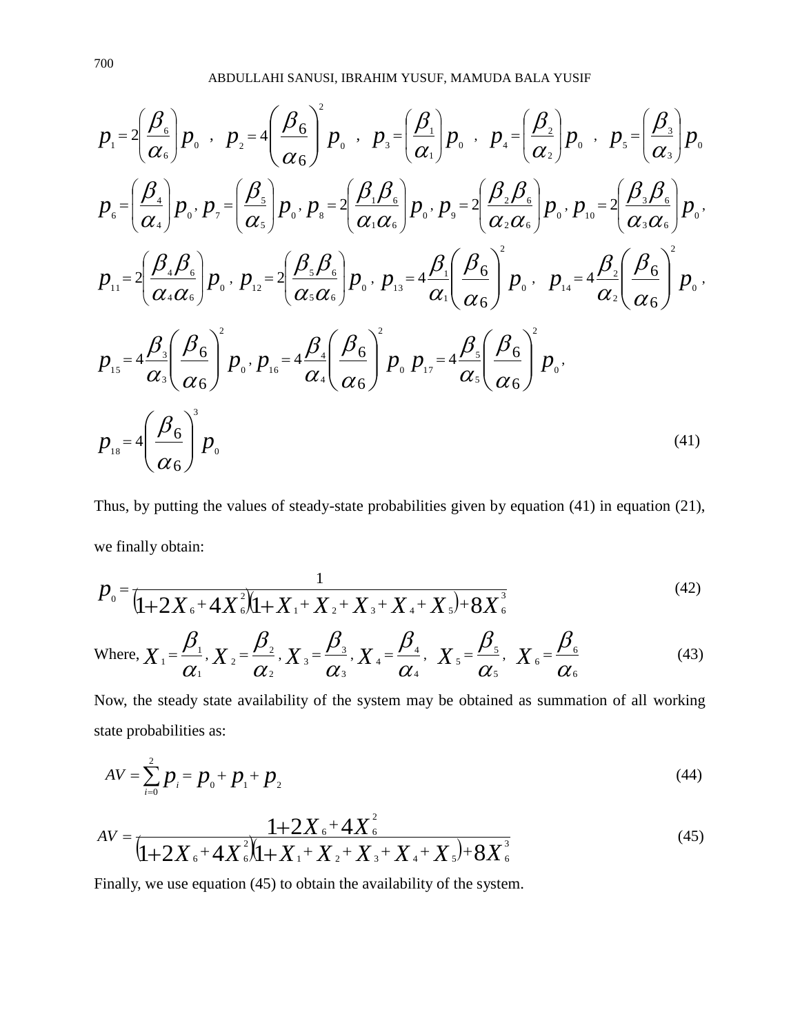ABDULLAHI SANUSI, IBRAHIM YUSUF, MAMUDA BALA YUSIF

$$
p_{1} = 2\left(\frac{\beta_{6}}{\alpha_{6}}\right)p_{0} , p_{2} = 4\left(\frac{\beta_{6}}{\alpha_{6}}\right)^{2} p_{0} , p_{3} = \left(\frac{\beta_{1}}{\alpha_{1}}\right)p_{0} , p_{4} = \left(\frac{\beta_{2}}{\alpha_{2}}\right)p_{0} , p_{5} = \left(\frac{\beta_{3}}{\alpha_{3}}\right)p_{0}
$$
\n
$$
p_{6} = \left(\frac{\beta_{4}}{\alpha_{4}}\right)p_{0} , p_{7} = \left(\frac{\beta_{5}}{\alpha_{5}}\right)p_{0} , p_{8} = 2\left(\frac{\beta_{1}\beta_{6}}{\alpha_{1}\alpha_{6}}\right)p_{0} , p_{9} = 2\left(\frac{\beta_{2}\beta_{6}}{\alpha_{2}\alpha_{6}}\right)p_{0} , p_{10} = 2\left(\frac{\beta_{3}\beta_{6}}{\alpha_{3}\alpha_{6}}\right)p_{0}
$$
\n
$$
p_{11} = 2\left(\frac{\beta_{4}\beta_{6}}{\alpha_{4}\alpha_{6}}\right)p_{0} , p_{12} = 2\left(\frac{\beta_{5}\beta_{6}}{\alpha_{5}\alpha_{6}}\right)p_{0} , p_{13} = 4\frac{\beta_{1}}{\alpha_{1}}\left(\frac{\beta_{6}}{\alpha_{6}}\right)^{2} p_{0} , p_{14} = 4\frac{\beta_{2}}{\alpha_{2}}\left(\frac{\beta_{6}}{\alpha_{6}}\right)^{2} p_{0}
$$
\n
$$
p_{15} = 4\frac{\beta_{3}}{\alpha_{3}}\left(\frac{\beta_{6}}{\alpha_{6}}\right)^{2} p_{0} , p_{16} = 4\frac{\beta_{4}}{\alpha_{4}}\left(\frac{\beta_{6}}{\alpha_{6}}\right)^{2} p_{0} p_{17} = 4\frac{\beta_{5}}{\alpha_{5}}\left(\frac{\beta_{6}}{\alpha_{6}}\right)^{2} p_{0}
$$
\n
$$
p_{18} = 4\left(\frac{\beta_{6}}{\alpha_{6}}\right)^{3} p_{0}
$$
\n
$$
p_{19} = 4\left(\frac{\beta_{6}}{\alpha_{6}}\right)^{3} p_{0}
$$
\n
$$
(41)
$$

Thus, by putting the values of steady-state probabilities given by equation (41) in equation (21), we finally obtain:

$$
P_0 = \frac{1}{[1+2X_6+4X_6^2](1+X_1+X_2+X_3+X_4+X_5)+8X_6^3}
$$
\n(42)

Where, 
$$
X_1 = \frac{\beta_1}{\alpha_1}, X_2 = \frac{\beta_2}{\alpha_2}, X_3 = \frac{\beta_3}{\alpha_3}, X_4 = \frac{\beta_4}{\alpha_4}, X_5 = \frac{\beta_5}{\alpha_5}, X_6 = \frac{\beta_6}{\alpha_6}
$$
 (43)

Now, the steady state availability of the system may be obtained as summation of all working state probabilities as:

$$
AV = \sum_{i=0}^{2} p_i = p_0 + p_1 + p_2 \tag{44}
$$

$$
AV = \frac{1+2X_{6}+4X_{6}^{2}}{1+2X_{6}+4X_{6}^{2}\left(1+X_{1}+X_{2}+X_{3}+X_{4}+X_{5}\right)+8X_{6}^{3}}
$$
\n(45)

Finally, we use equation (45) to obtain the availability of the system.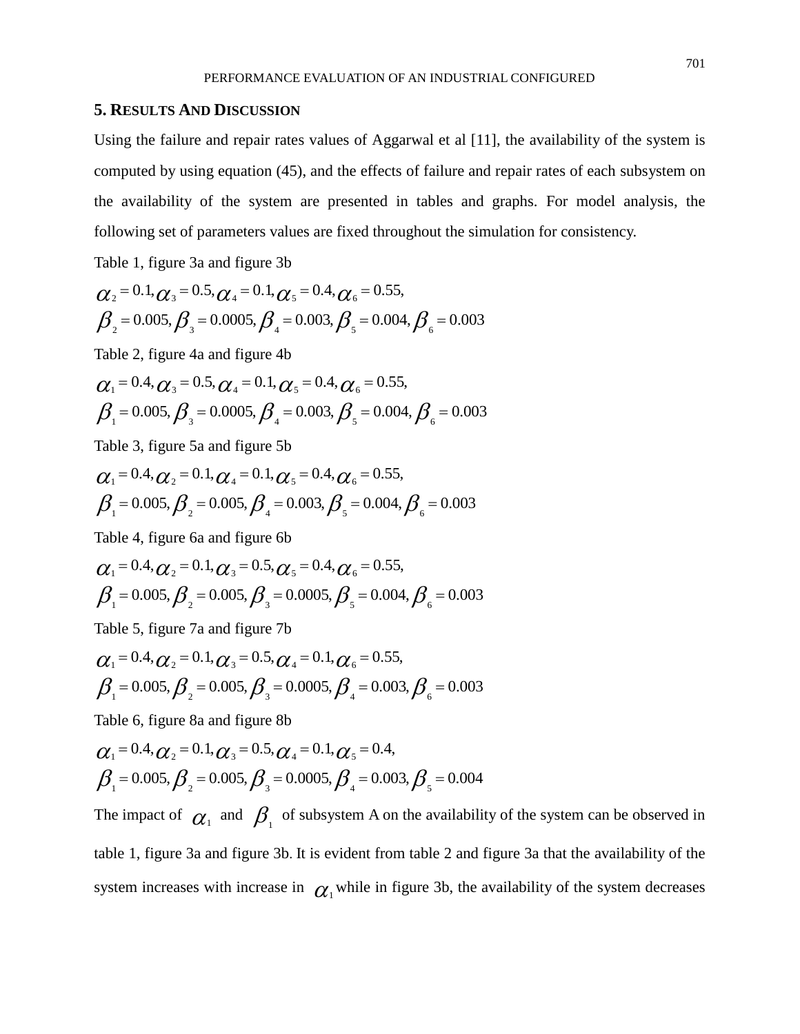## **5. RESULTS AND DISCUSSION**

Using the failure and repair rates values of Aggarwal et al [11], the availability of the system is computed by using equation (45), and the effects of failure and repair rates of each subsystem on the availability of the system are presented in tables and graphs. For model analysis, the following set of parameters values are fixed throughout the simulation for consistency.

Table 1, figure 3a and figure 3b

$$
\alpha_2 = 0.1, \alpha_3 = 0.5, \alpha_4 = 0.1, \alpha_5 = 0.4, \alpha_6 = 0.55, \n\beta_2 = 0.005, \beta_3 = 0.0005, \beta_4 = 0.003, \beta_5 = 0.004, \beta_6 = 0.003
$$

Table 2, figure 4a and figure 4b

$$
\alpha_1 = 0.4, \alpha_3 = 0.5, \alpha_4 = 0.1, \alpha_5 = 0.4, \alpha_6 = 0.55, \n\beta_1 = 0.005, \beta_3 = 0.0005, \beta_4 = 0.003, \beta_5 = 0.004, \beta_6 = 0.003
$$

Table 3, figure 5a and figure 5b

$$
\alpha_1 = 0.4, \alpha_2 = 0.1, \alpha_4 = 0.1, \alpha_5 = 0.4, \alpha_6 = 0.55, \n\beta_1 = 0.005, \beta_2 = 0.005, \beta_4 = 0.003, \beta_5 = 0.004, \beta_6 = 0.003
$$

Table 4, figure 6a and figure 6b

$$
\alpha_1 = 0.4, \alpha_2 = 0.1, \alpha_3 = 0.5, \alpha_5 = 0.4, \alpha_6 = 0.55, \n\beta_1 = 0.005, \beta_2 = 0.005, \beta_3 = 0.0005, \beta_5 = 0.004, \beta_6 = 0.003
$$

Table 5, figure 7a and figure 7b

$$
\alpha_1 = 0.4, \alpha_2 = 0.1, \alpha_3 = 0.5, \alpha_4 = 0.1, \alpha_6 = 0.55, \n\beta_1 = 0.005, \beta_2 = 0.005, \beta_3 = 0.0005, \beta_4 = 0.003, \beta_6 = 0.003
$$

Table 6, figure 8a and figure 8b

$$
\alpha_1 = 0.4, \alpha_2 = 0.1, \alpha_3 = 0.5, \alpha_4 = 0.1, \alpha_5 = 0.4,
$$
  

$$
\beta_1 = 0.005, \beta_2 = 0.005, \beta_3 = 0.0005, \beta_4 = 0.003, \beta_5 = 0.004
$$

The impact of  $\alpha_1$  and  $\beta_1$  of subsystem A on the availability of the system can be observed in table 1, figure 3a and figure 3b. It is evident from table 2 and figure 3a that the availability of the system increases with increase in  $\alpha_1$  while in figure 3b, the availability of the system decreases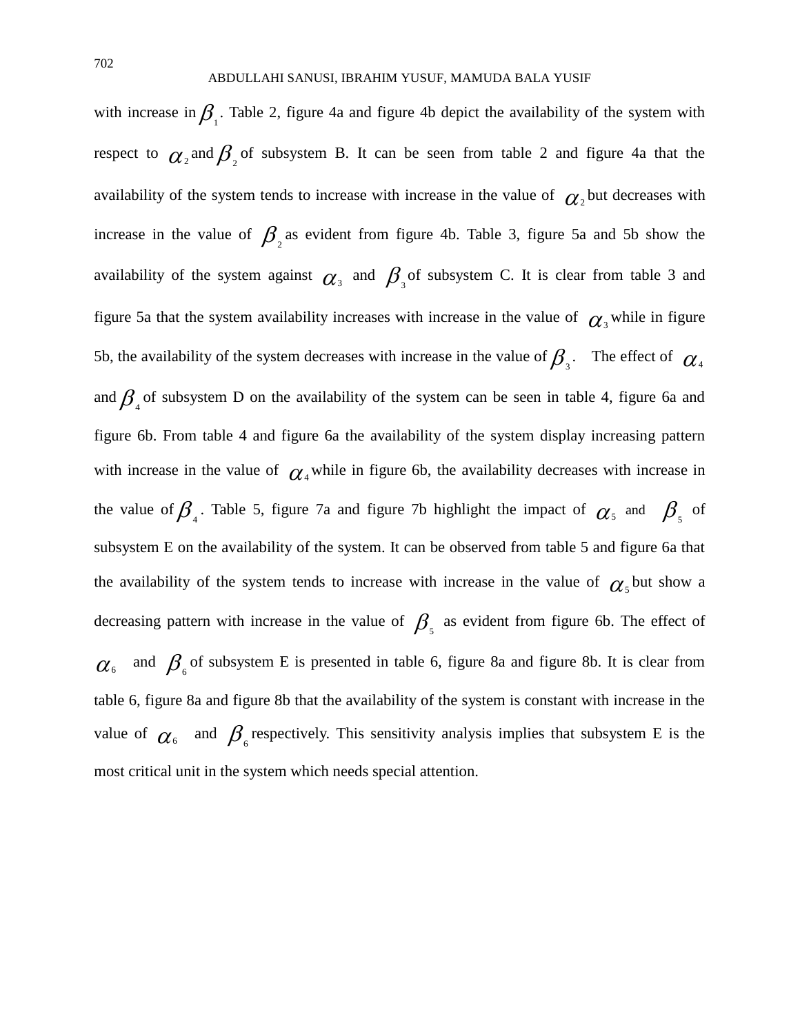with increase in  $\beta_1$ . Table 2, figure 4a and figure 4b depict the availability of the system with respect to  $\alpha_2$  and  $\beta_2$  of subsystem B. It can be seen from table 2 and figure 4a that the availability of the system tends to increase with increase in the value of  $\alpha_2$  but decreases with increase in the value of  $\beta_2$  as evident from figure 4b. Table 3, figure 5a and 5b show the availability of the system against  $\alpha_3$  and  $\beta_3$  of subsystem C. It is clear from table 3 and figure 5a that the system availability increases with increase in the value of  $\alpha$ <sub>3</sub> while in figure 5b, the availability of the system decreases with increase in the value of  $\beta_{\beta}$ . The effect of  $\alpha_{\beta}$ and  $\beta_{4}$  of subsystem D on the availability of the system can be seen in table 4, figure 6a and figure 6b. From table 4 and figure 6a the availability of the system display increasing pattern with increase in the value of  $\alpha_4$  while in figure 6b, the availability decreases with increase in the value of  $\beta_{\scriptscriptstyle{A}}$ . Table 5, figure 7a and figure 7b highlight the impact of  $\alpha_{\scriptscriptstyle{5}}$  and  $\beta_{\scriptscriptstyle{5}}$  of subsystem E on the availability of the system. It can be observed from table 5 and figure 6a that the availability of the system tends to increase with increase in the value of  $\alpha$ <sub>s</sub> but show a decreasing pattern with increase in the value of  $\beta_{\zeta}$  as evident from figure 6b. The effect of  $\alpha_{6}$  and  $\beta_{6}$  of subsystem E is presented in table 6, figure 8a and figure 8b. It is clear from table 6, figure 8a and figure 8b that the availability of the system is constant with increase in the value of  $\alpha_{\epsilon}$  and  $\beta_{\epsilon}$  respectively. This sensitivity analysis implies that subsystem E is the most critical unit in the system which needs special attention.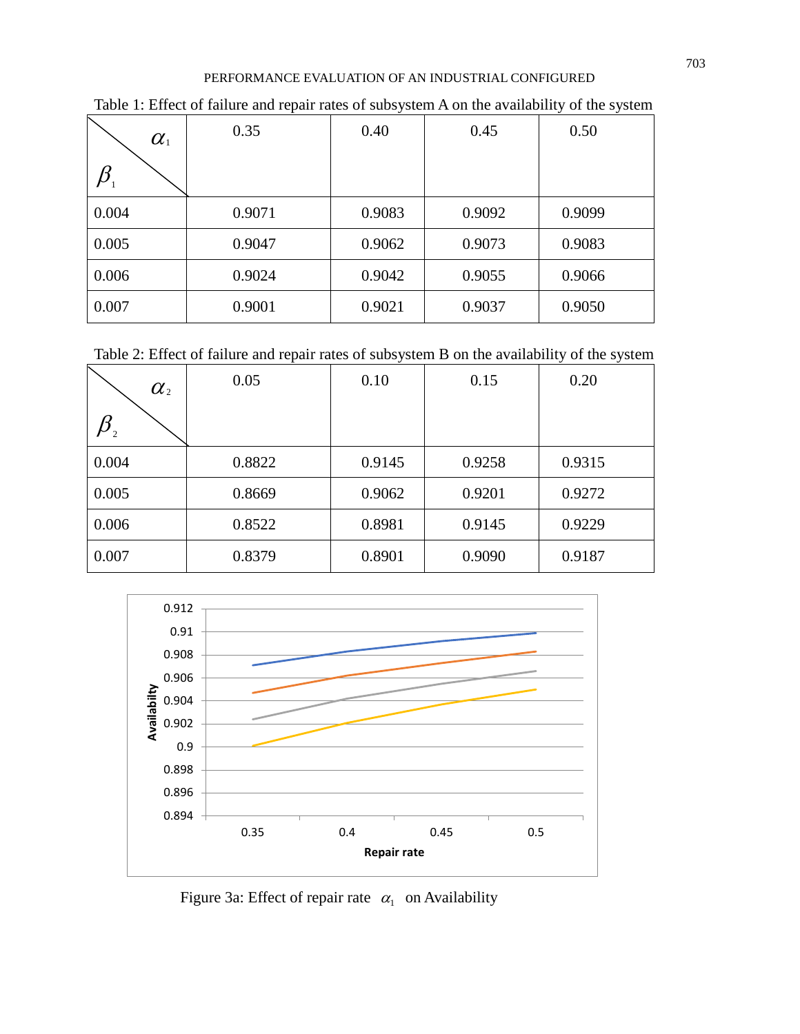| $\alpha_{\scriptscriptstyle 1}$ | 0.35   | 0.40   | 0.45   | 0.50   |
|---------------------------------|--------|--------|--------|--------|
|                                 |        |        |        |        |
| 0.004                           | 0.9071 | 0.9083 | 0.9092 | 0.9099 |
| 0.005                           | 0.9047 | 0.9062 | 0.9073 | 0.9083 |
| 0.006                           | 0.9024 | 0.9042 | 0.9055 | 0.9066 |
| 0.007                           | 0.9001 | 0.9021 | 0.9037 | 0.9050 |

Table 1: Effect of failure and repair rates of subsystem A on the availability of the system

Table 2: Effect of failure and repair rates of subsystem B on the availability of the system

| $\alpha_{\scriptscriptstyle 2}$ | 0.05   | 0.10   | 0.15   | 0.20   |
|---------------------------------|--------|--------|--------|--------|
| $\sim$ 2                        |        |        |        |        |
| 0.004                           | 0.8822 | 0.9145 | 0.9258 | 0.9315 |
| 0.005                           | 0.8669 | 0.9062 | 0.9201 | 0.9272 |
| 0.006                           | 0.8522 | 0.8981 | 0.9145 | 0.9229 |
| 0.007                           | 0.8379 | 0.8901 | 0.9090 | 0.9187 |



Figure 3a: Effect of repair rate  $\alpha_1$  on Availability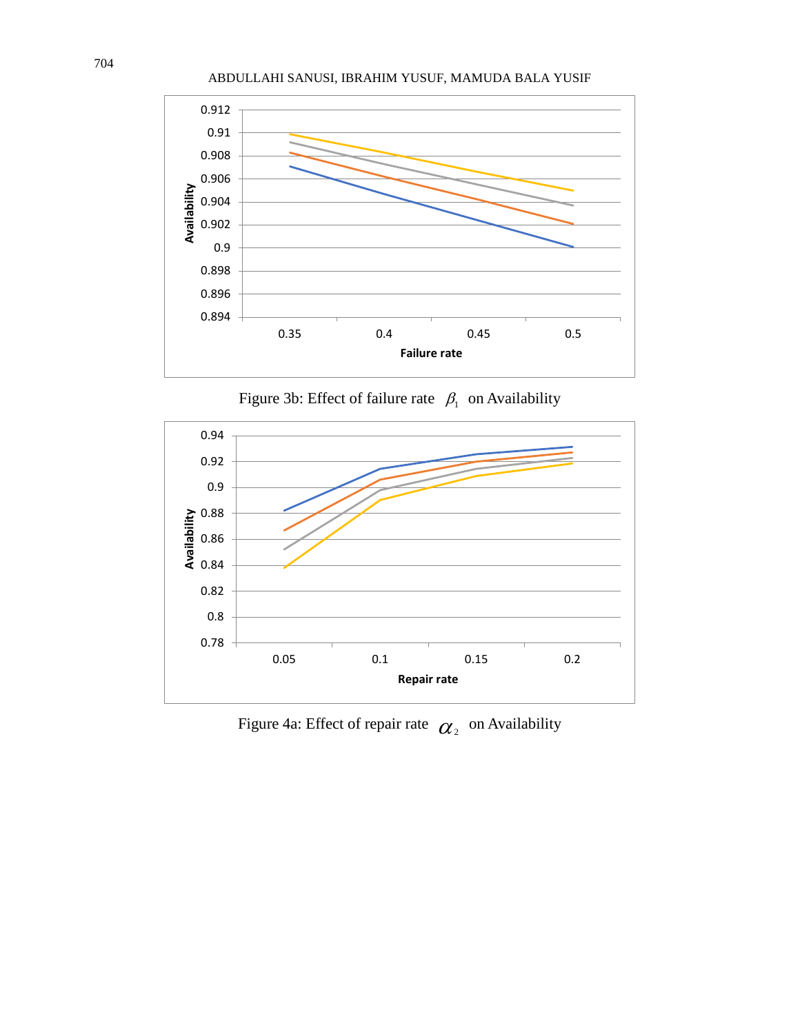#### ABDULLAHI SANUSI, IBRAHIM YUSUF, MAMUDA BALA YUSIF



Figure 3b: Effect of failure rate  $\beta_1$  on Availability



Figure 4a: Effect of repair rate  $\alpha_2$  on Availability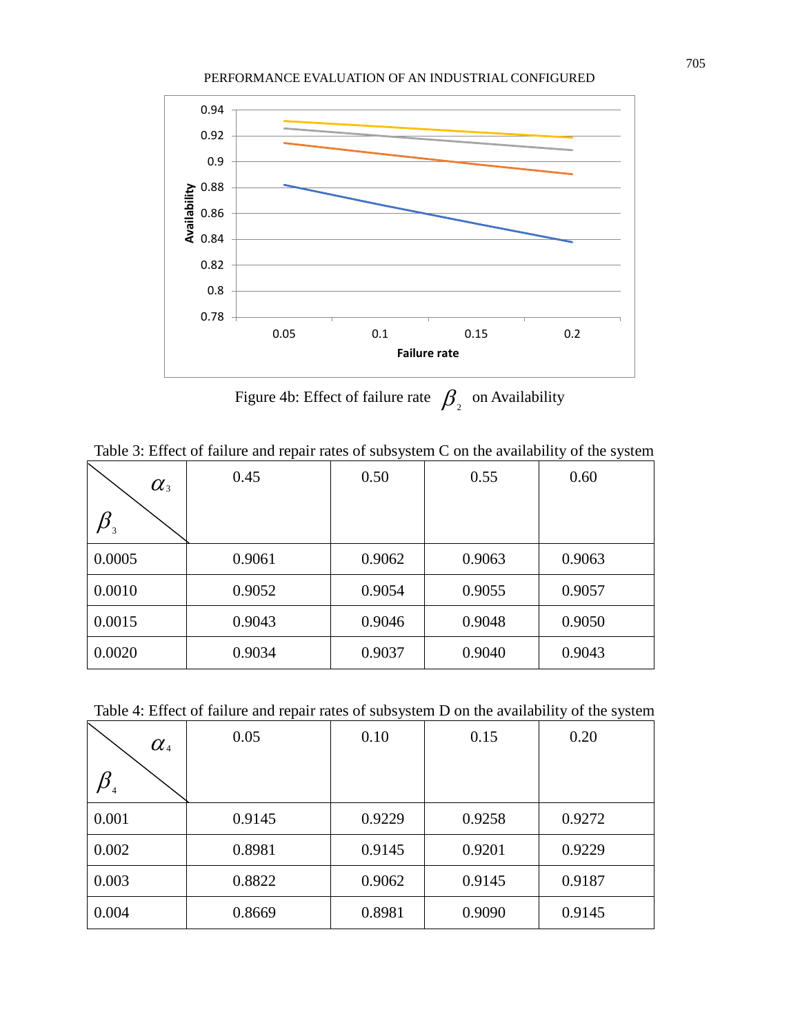

Figure 4b: Effect of failure rate  $\beta_{\frac{1}{2}}$  on Availability

Table 3: Effect of failure and repair rates of subsystem C on the availability of the system

| $\alpha_{3}$ | 0.45   | 0.50   | 0.55   | 0.60   |
|--------------|--------|--------|--------|--------|
| $\sim$ 3     |        |        |        |        |
| 0.0005       | 0.9061 | 0.9062 | 0.9063 | 0.9063 |
| 0.0010       | 0.9052 | 0.9054 | 0.9055 | 0.9057 |
| 0.0015       | 0.9043 | 0.9046 | 0.9048 | 0.9050 |
| 0.0020       | 0.9034 | 0.9037 | 0.9040 | 0.9043 |

Table 4: Effect of failure and repair rates of subsystem D on the availability of the system

| $\alpha_{\text{\tiny 4}}$ | 0.05   | 0.10   | 0.15   | 0.20   |
|---------------------------|--------|--------|--------|--------|
|                           |        |        |        |        |
| 0.001                     | 0.9145 | 0.9229 | 0.9258 | 0.9272 |
| 0.002                     | 0.8981 | 0.9145 | 0.9201 | 0.9229 |
| 0.003                     | 0.8822 | 0.9062 | 0.9145 | 0.9187 |
| 0.004                     | 0.8669 | 0.8981 | 0.9090 | 0.9145 |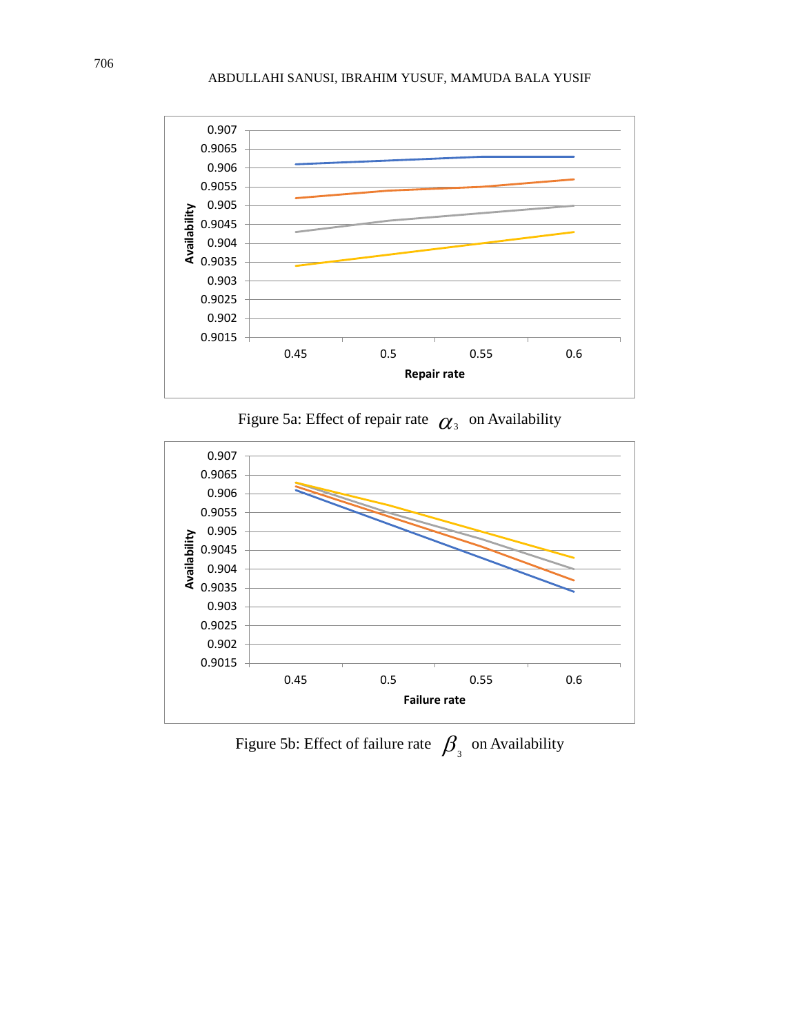

Figure 5a: Effect of repair rate  $\alpha_{\text{3}}$  on Availability



Figure 5b: Effect of failure rate  $\beta_{\text{3}}$  on Availability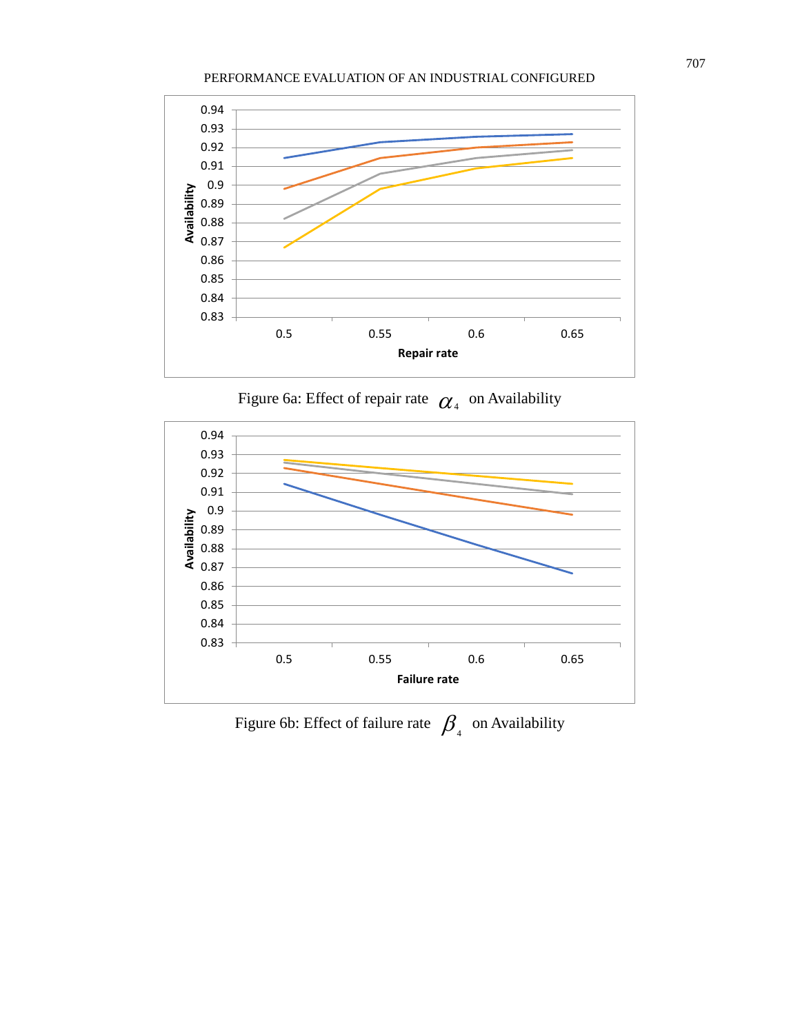

Figure 6a: Effect of repair rate  $\alpha_4$  on Availability



Figure 6b: Effect of failure rate  $\beta_{\scriptscriptstyle{4}}^{\scriptscriptstyle{5}}$  on Availability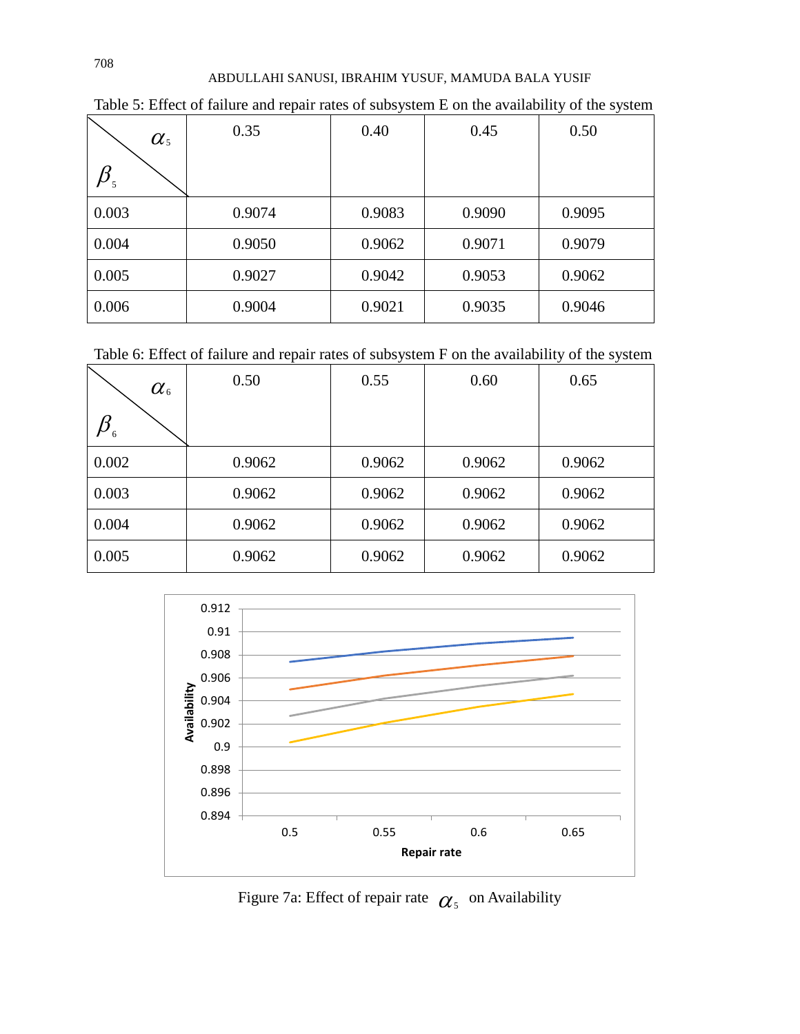| $\alpha_{\scriptscriptstyle 5}$ | 0.35   | 0.40   | 0.45   | 0.50   |
|---------------------------------|--------|--------|--------|--------|
|                                 |        |        |        |        |
| 0.003                           | 0.9074 | 0.9083 | 0.9090 | 0.9095 |
| 0.004                           | 0.9050 | 0.9062 | 0.9071 | 0.9079 |
| 0.005                           | 0.9027 | 0.9042 | 0.9053 | 0.9062 |
| 0.006                           | 0.9004 | 0.9021 | 0.9035 | 0.9046 |

Table 5: Effect of failure and repair rates of subsystem E on the availability of the system

Table 6: Effect of failure and repair rates of subsystem F on the availability of the system

| $\alpha$ 6 | 0.50   | 0.55   | 0.60   | 0.65   |
|------------|--------|--------|--------|--------|
| -6         |        |        |        |        |
| 0.002      | 0.9062 | 0.9062 | 0.9062 | 0.9062 |
| 0.003      | 0.9062 | 0.9062 | 0.9062 | 0.9062 |
| 0.004      | 0.9062 | 0.9062 | 0.9062 | 0.9062 |
| 0.005      | 0.9062 | 0.9062 | 0.9062 | 0.9062 |



Figure 7a: Effect of repair rate  $\alpha_s$  on Availability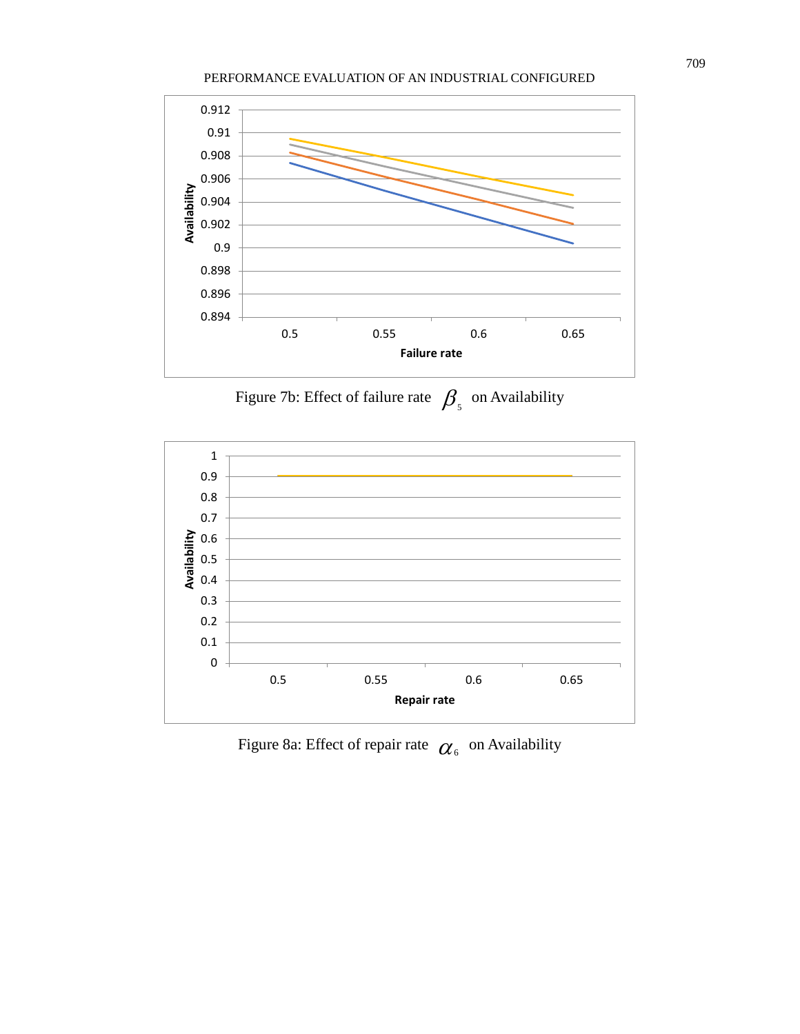

Figure 7b: Effect of failure rate  $\beta_{\scriptscriptstyle{5}}$  on Availability



Figure 8a: Effect of repair rate  $\alpha_{\scriptscriptstyle{6}}^{\scriptscriptstyle{-}}$  on Availability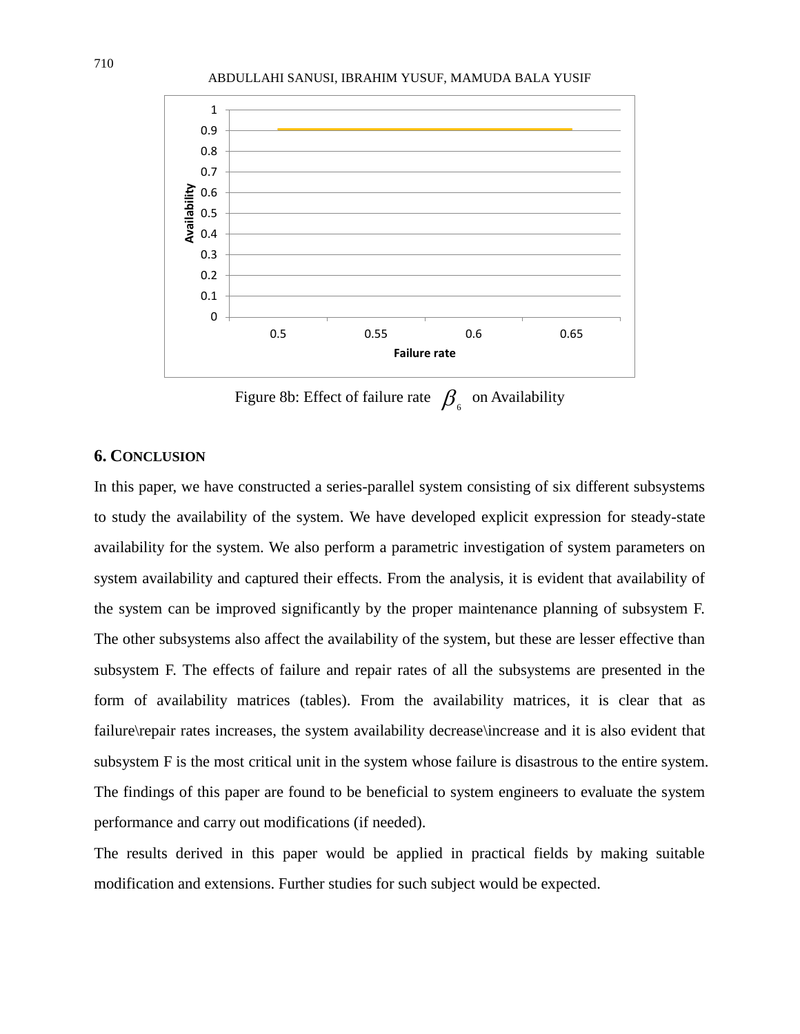



Figure 8b: Effect of failure rate  $\int \!\!\! \int_{6}$  on Availability

## **6. CONCLUSION**

In this paper, we have constructed a series-parallel system consisting of six different subsystems to study the availability of the system. We have developed explicit expression for steady-state availability for the system. We also perform a parametric investigation of system parameters on system availability and captured their effects. From the analysis, it is evident that availability of the system can be improved significantly by the proper maintenance planning of subsystem F. The other subsystems also affect the availability of the system, but these are lesser effective than subsystem F. The effects of failure and repair rates of all the subsystems are presented in the form of availability matrices (tables). From the availability matrices, it is clear that as failure\repair rates increases, the system availability decrease\increase and it is also evident that subsystem F is the most critical unit in the system whose failure is disastrous to the entire system. The findings of this paper are found to be beneficial to system engineers to evaluate the system performance and carry out modifications (if needed).

The results derived in this paper would be applied in practical fields by making suitable modification and extensions. Further studies for such subject would be expected.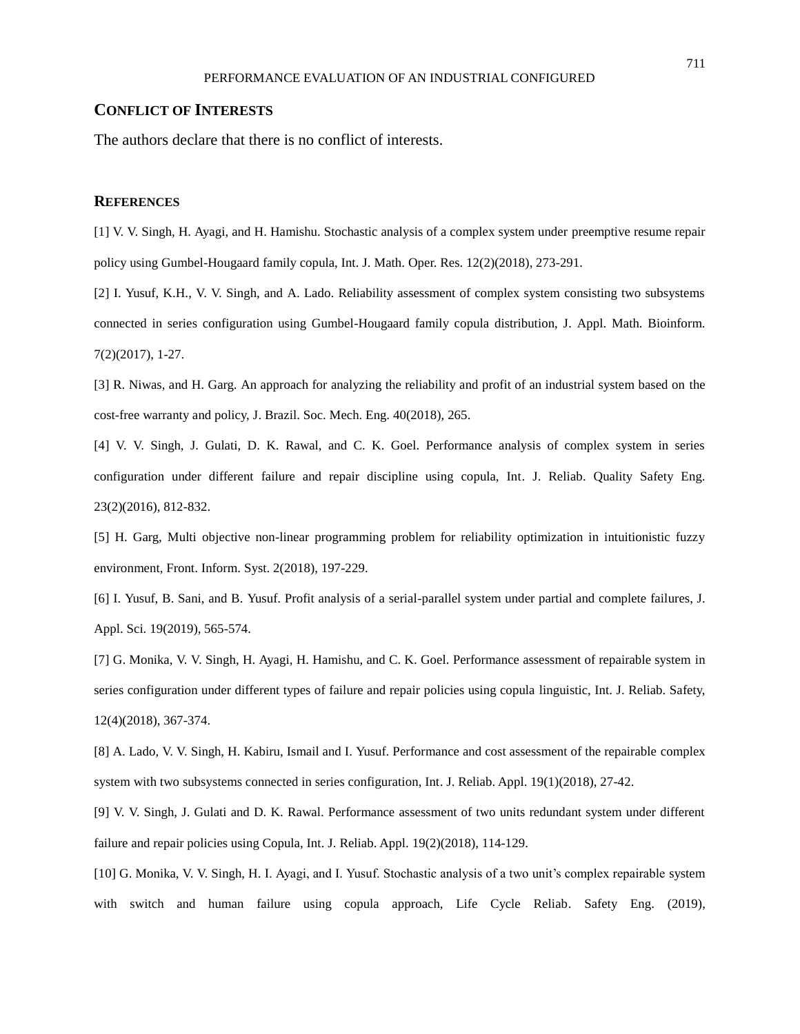#### **CONFLICT OF INTERESTS**

The authors declare that there is no conflict of interests.

#### **REFERENCES**

[1] V. V. Singh, H. Ayagi, and H. Hamishu. Stochastic analysis of a complex system under preemptive resume repair policy using Gumbel-Hougaard family copula, Int. J. Math. Oper. Res. 12(2)(2018), 273-291.

[2] I. Yusuf, K.H., V. V. Singh, and A. Lado. Reliability assessment of complex system consisting two subsystems connected in series configuration using Gumbel-Hougaard family copula distribution, J. Appl. Math. Bioinform. 7(2)(2017), 1-27.

[3] R. Niwas, and H. Garg. An approach for analyzing the reliability and profit of an industrial system based on the cost-free warranty and policy, J. Brazil. Soc. Mech. Eng. 40(2018), 265.

[4] V. V. Singh, J. Gulati, D. K. Rawal, and C. K. Goel. Performance analysis of complex system in series configuration under different failure and repair discipline using copula, Int. J. Reliab. Quality Safety Eng. 23(2)(2016), 812-832.

[5] H. Garg, Multi objective non-linear programming problem for reliability optimization in intuitionistic fuzzy environment, Front. Inform. Syst. 2(2018), 197-229.

[6] I. Yusuf, B. Sani, and B. Yusuf. Profit analysis of a serial-parallel system under partial and complete failures, J. Appl. Sci. 19(2019), 565-574.

[7] G. Monika, V. V. Singh, H. Ayagi, H. Hamishu, and C. K. Goel. Performance assessment of repairable system in series configuration under different types of failure and repair policies using copula linguistic, Int. J. Reliab. Safety, 12(4)(2018), 367-374.

[8] A. Lado, V. V. Singh, H. Kabiru, Ismail and I. Yusuf. Performance and cost assessment of the repairable complex system with two subsystems connected in series configuration, Int. J. Reliab. Appl. 19(1)(2018), 27-42.

[9] V. V. Singh, J. Gulati and D. K. Rawal. Performance assessment of two units redundant system under different failure and repair policies using Copula, Int. J. Reliab. Appl. 19(2)(2018), 114-129.

[10] G. Monika, V. V. Singh, H. I. Ayagi, and I. Yusuf. Stochastic analysis of a two unit's complex repairable system with switch and human failure using copula approach, Life Cycle Reliab. Safety Eng. (2019),